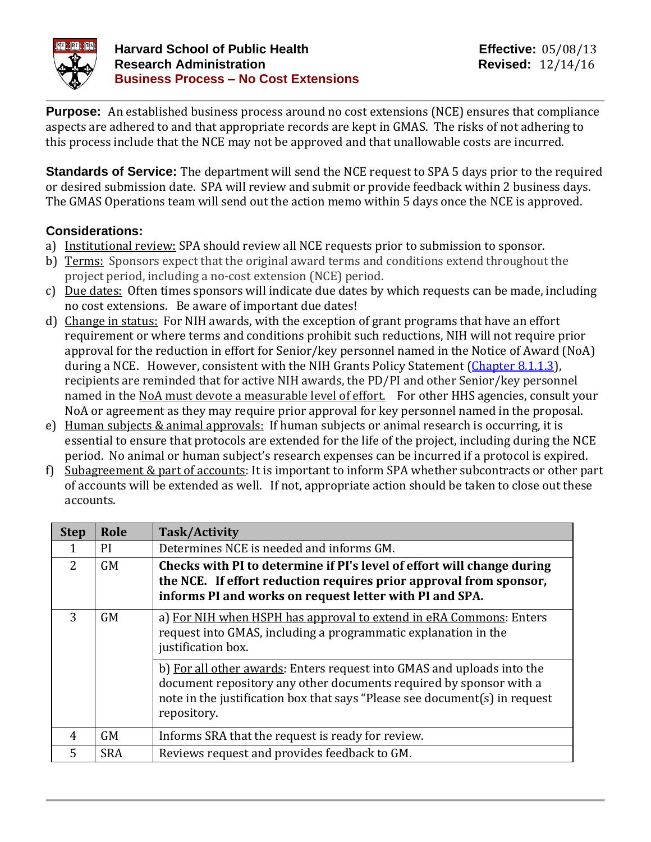

**Purpose:** An established business process around no cost extensions (NCE) ensures that compliance aspects are adhered to and that appropriate records are kept in GMAS. The risks of not adhering to this process include that the NCE may not be approved and that unallowable costs are incurred.

**Standards of Service:** The department will send the NCE request to SPA 5 days prior to the required or desired submission date. SPA will review and submit or provide feedback within 2 business days. The GMAS Operations team will send out the action memo within 5 days once the NCE is approved.

## **Considerations:**

- a) Institutional review: SPA should review all NCE requests prior to submission to sponsor.
- b) Terms: Sponsors expect that the original award terms and conditions extend throughout the project period, including a no-cost extension (NCE) period.
- c) Due dates: Often times sponsors will indicate due dates by which requests can be made, including no cost extensions. Be aware of important due dates!
- d) Change in status: For NIH awards, with the exception of grant programs that have an effort requirement or where terms and conditions prohibit such reductions, NIH will not require prior approval for the reduction in effort for Senior/key personnel named in the Notice of Award (NoA) during a NCE. However, consistent with the NIH Grants Policy Statement [\(Chapter 8.1.1.3\)](https://grants.nih.gov/grants/policy/nihgps/HTML5/section_8/8.1_changes_in_project_and_budget.htm), recipients are reminded that for active NIH awards, the PD/PI and other Senior/key personnel named in the NoA must devote a measurable level of effort. For other HHS agencies, consult your NoA or agreement as they may require prior approval for key personnel named in the proposal.
- e) Human subjects & animal approvals: If human subjects or animal research is occurring, it is essential to ensure that protocols are extended for the life of the project, including during the NCE period. No animal or human subject's research expenses can be incurred if a protocol is expired.
- f) Subagreement & part of accounts: It is important to inform SPA whether subcontracts or other part of accounts will be extended as well. If not, appropriate action should be taken to close out these accounts.

| <b>Step</b>    | Role       | Task/Activity                                                                                                                                                                                                                             |
|----------------|------------|-------------------------------------------------------------------------------------------------------------------------------------------------------------------------------------------------------------------------------------------|
|                | <b>PI</b>  | Determines NCE is needed and informs GM.                                                                                                                                                                                                  |
| $\overline{2}$ | <b>GM</b>  | Checks with PI to determine if PI's level of effort will change during<br>the NCE. If effort reduction requires prior approval from sponsor,<br>informs PI and works on request letter with PI and SPA.                                   |
| 3              | <b>GM</b>  | a) For NIH when HSPH has approval to extend in eRA Commons: Enters<br>request into GMAS, including a programmatic explanation in the<br>justification box.                                                                                |
|                |            | b) For all other awards: Enters request into GMAS and uploads into the<br>document repository any other documents required by sponsor with a<br>note in the justification box that says "Please see document(s) in request<br>repository. |
| 4              | <b>GM</b>  | Informs SRA that the request is ready for review.                                                                                                                                                                                         |
| 5              | <b>SRA</b> | Reviews request and provides feedback to GM.                                                                                                                                                                                              |